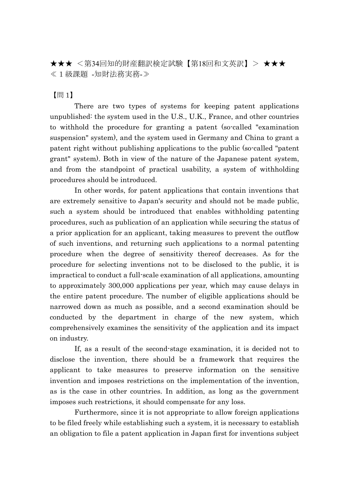★★★ <第34回知的財産翻訳検定試験【第18回和文英訳】> ★★★ ≪1級課題 -知財法務実務-≫

【問 1】

There are two types of systems for keeping patent applications unpublished: the system used in the U.S., U.K., France, and other countries to withhold the procedure for granting a patent (so-called "examination suspension" system), and the system used in Germany and China to grant a patent right without publishing applications to the public (so-called "patent grant" system). Both in view of the nature of the Japanese patent system, and from the standpoint of practical usability, a system of withholding procedures should be introduced.

In other words, for patent applications that contain inventions that are extremely sensitive to Japan's security and should not be made public, such a system should be introduced that enables withholding patenting procedures, such as publication of an application while securing the status of a prior application for an applicant, taking measures to prevent the outflow of such inventions, and returning such applications to a normal patenting procedure when the degree of sensitivity thereof decreases. As for the procedure for selecting inventions not to be disclosed to the public, it is impractical to conduct a full-scale examination of all applications, amounting to approximately 300,000 applications per year, which may cause delays in the entire patent procedure. The number of eligible applications should be narrowed down as much as possible, and a second examination should be conducted by the department in charge of the new system, which comprehensively examines the sensitivity of the application and its impact on industry.

If, as a result of the second-stage examination, it is decided not to disclose the invention, there should be a framework that requires the applicant to take measures to preserve information on the sensitive invention and imposes restrictions on the implementation of the invention, as is the case in other countries. In addition, as long as the government imposes such restrictions, it should compensate for any loss.

Furthermore, since it is not appropriate to allow foreign applications to be filed freely while establishing such a system, it is necessary to establish an obligation to file a patent application in Japan first for inventions subject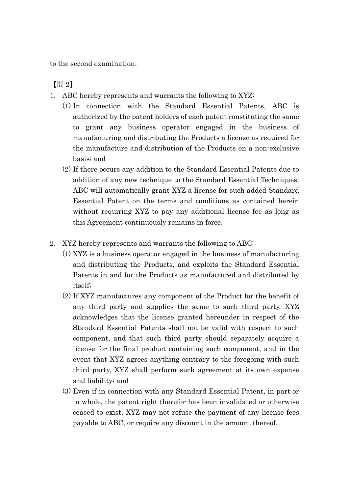to the second examination.

【問 2】

- 1. ABC hereby represents and warrants the following to XYZ:
	- (1) In connection with the Standard Essential Patents, ABC is authorized by the patent holders of each patent constituting the same to grant any business operator engaged in the business of manufacturing and distributing the Products a license as required for the manufacture and distribution of the Products on a non-exclusive basis; and
	- (2) If there occurs any addition to the Standard Essential Patents due to addition of any new technique to the Standard Essential Techniques, ABC will automatically grant XYZ a license for such added Standard Essential Patent on the terms and conditions as contained herein without requiring XYZ to pay any additional license fee as long as this Agreement continuously remains in force.
- 2. XYZ hereby represents and warrants the following to ABC:
	- (1) XYZ is a business operator engaged in the business of manufacturing and distributing the Products, and exploits the Standard Essential Patents in and for the Products as manufactured and distributed by itself;
	- (2) If XYZ manufactures any component of the Product for the benefit of any third party and supplies the same to such third party, XYZ acknowledges that the license granted hereunder in respect of the Standard Essential Patents shall not be valid with respect to such component, and that such third party should separately acquire a license for the final product containing such component, and in the event that XYZ agrees anything contrary to the foregoing with such third party, XYZ shall perform such agreement at its own expense and liability; and
	- (3) Even if in connection with any Standard Essential Patent, in part or in whole, the patent right therefor has been invalidated or otherwise ceased to exist, XYZ may not refuse the payment of any license fees payable to ABC, or require any discount in the amount thereof.